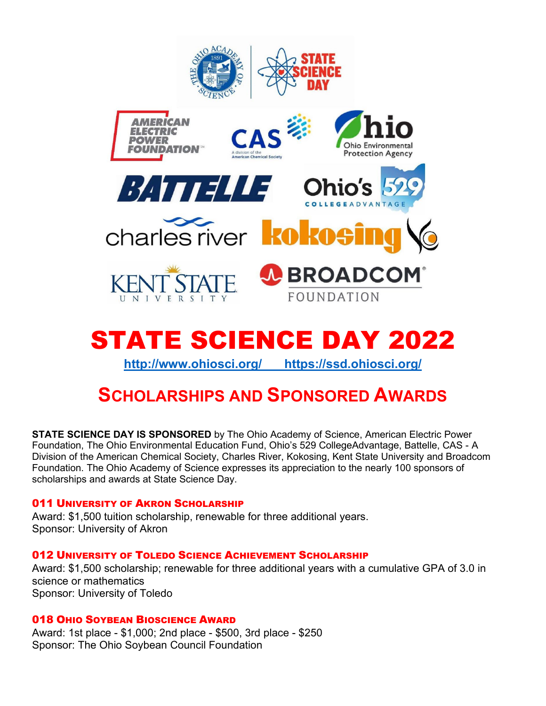



**<http://www.ohiosci.org/> <https://ssd.ohiosci.org/>**

# **SCHOLARSHIPS AND SPONSORED AWARDS**

**STATE SCIENCE DAY IS SPONSORED** by The Ohio Academy of Science, American Electric Power Foundation, The Ohio Environmental Education Fund, Ohio's 529 CollegeAdvantage, Battelle, CAS - A Division of the American Chemical Society, Charles River, Kokosing, Kent State University and Broadcom Foundation. The Ohio Academy of Science expresses its appreciation to the nearly 100 sponsors of scholarships and awards at State Science Day.

# 011 UNIVERSITY OF AKRON SCHOLARSHIP

Award: \$1,500 tuition scholarship, renewable for three additional years. Sponsor: University of Akron

# 012 UNIVERSITY OF TOLEDO SCIENCE ACHIEVEMENT SCHOLARSHIP

Award: \$1,500 scholarship; renewable for three additional years with a cumulative GPA of 3.0 in science or mathematics Sponsor: University of Toledo

# 018 OHIO SOYBEAN BIOSCIENCE AWARD

Award: 1st place - \$1,000; 2nd place - \$500, 3rd place - \$250 Sponsor: The Ohio Soybean Council Foundation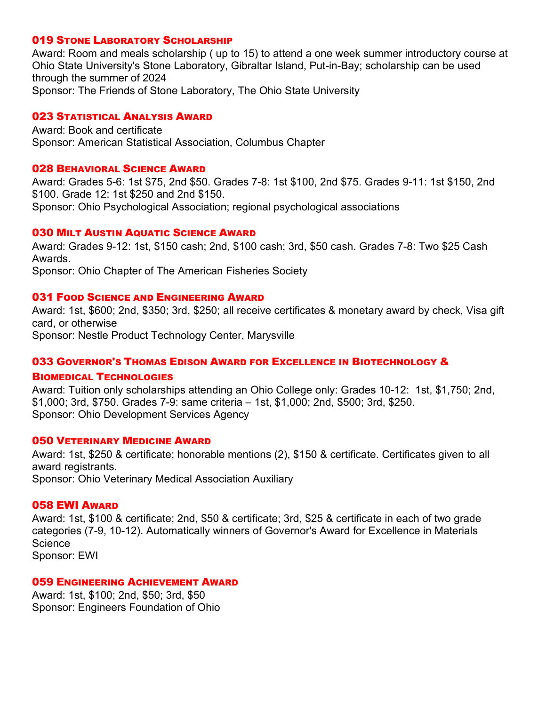## 019 STONE LABORATORY SCHOLARSHIP

Award: Room and meals scholarship ( up to 15) to attend a one week summer introductory course at Ohio State University's Stone Laboratory, Gibraltar Island, Put-in-Bay; scholarship can be used through the summer of 2024 Sponsor: The Friends of Stone Laboratory, The Ohio State University

## 023 STATISTICAL ANALYSIS AWARD

Award: Book and certificate Sponsor: American Statistical Association, Columbus Chapter

## 028 BEHAVIORAL SCIENCE AWARD

Award: Grades 5-6: 1st \$75, 2nd \$50. Grades 7-8: 1st \$100, 2nd \$75. Grades 9-11: 1st \$150, 2nd \$100. Grade 12: 1st \$250 and 2nd \$150. Sponsor: Ohio Psychological Association; regional psychological associations

## 030 MILT AUSTIN AQUATIC SCIENCE AWARD

Award: Grades 9-12: 1st, \$150 cash; 2nd, \$100 cash; 3rd, \$50 cash. Grades 7-8: Two \$25 Cash Awards.

Sponsor: Ohio Chapter of The American Fisheries Society

## 031 FOOD SCIENCE AND ENGINEERING AWARD

Award: 1st, \$600; 2nd, \$350; 3rd, \$250; all receive certificates & monetary award by check, Visa gift card, or otherwise Sponsor: Nestle Product Technology Center, Marysville

# 033 GOVERNOR'S THOMAS EDISON AWARD FOR EXCELLENCE IN BIOTECHNOLOGY &

## BIOMEDICAL TECHNOLOGIES

Award: Tuition only scholarships attending an Ohio College only: Grades 10-12: 1st, \$1,750; 2nd, \$1,000; 3rd, \$750. Grades 7-9: same criteria – 1st, \$1,000; 2nd, \$500; 3rd, \$250. Sponsor: Ohio Development Services Agency

# 050 VETERINARY MEDICINE AWARD

Award: 1st, \$250 & certificate; honorable mentions (2), \$150 & certificate. Certificates given to all award registrants. Sponsor: Ohio Veterinary Medical Association Auxiliary

## 058 EWI AWARD

Award: 1st, \$100 & certificate; 2nd, \$50 & certificate; 3rd, \$25 & certificate in each of two grade categories (7-9, 10-12). Automatically winners of Governor's Award for Excellence in Materials **Science** Sponsor: EWI

## 059 ENGINEERING ACHIEVEMENT AWARD

Award: 1st, \$100; 2nd, \$50; 3rd, \$50 Sponsor: Engineers Foundation of Ohio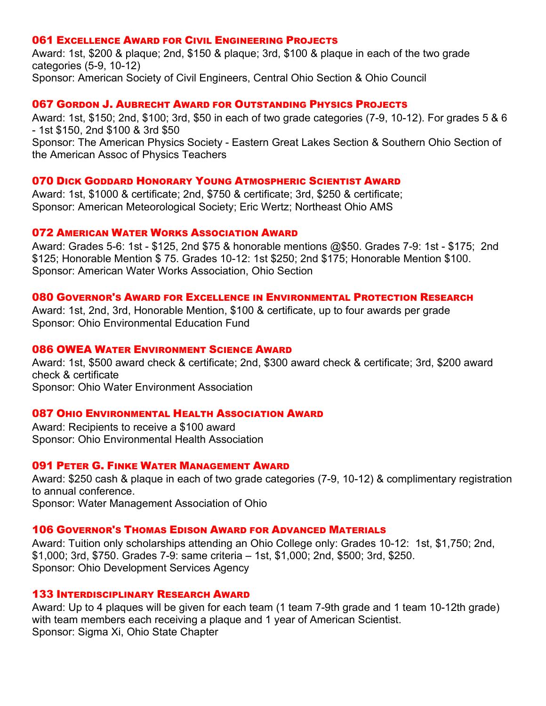## 061 EXCELLENCE AWARD FOR CIVIL ENGINEERING PROJECTS

Award: 1st, \$200 & plaque; 2nd, \$150 & plaque; 3rd, \$100 & plaque in each of the two grade categories (5-9, 10-12) Sponsor: American Society of Civil Engineers, Central Ohio Section & Ohio Council

## 067 GORDON J. AUBRECHT AWARD FOR OUTSTANDING PHYSICS PROJECTS

Award: 1st, \$150; 2nd, \$100; 3rd, \$50 in each of two grade categories (7-9, 10-12). For grades 5 & 6 - 1st \$150, 2nd \$100 & 3rd \$50

Sponsor: The American Physics Society - Eastern Great Lakes Section & Southern Ohio Section of the American Assoc of Physics Teachers

## 070 DICK GODDARD HONORARY YOUNG ATMOSPHERIC SCIENTIST AWARD

Award: 1st, \$1000 & certificate; 2nd, \$750 & certificate; 3rd, \$250 & certificate; Sponsor: American Meteorological Society; Eric Wertz; Northeast Ohio AMS

## 072 AMERICAN WATER WORKS ASSOCIATION AWARD

Award: Grades 5-6: 1st - \$125, 2nd \$75 & honorable mentions @\$50. Grades 7-9: 1st - \$175; 2nd \$125; Honorable Mention \$ 75. Grades 10-12: 1st \$250; 2nd \$175; Honorable Mention \$100. Sponsor: American Water Works Association, Ohio Section

## 080 GOVERNOR'S AWARD FOR EXCELLENCE IN ENVIRONMENTAL PROTECTION RESEARCH

Award: 1st, 2nd, 3rd, Honorable Mention, \$100 & certificate, up to four awards per grade Sponsor: Ohio Environmental Education Fund

## 086 OWEA WATER ENVIRONMENT SCIENCE AWARD

Award: 1st, \$500 award check & certificate; 2nd, \$300 award check & certificate; 3rd, \$200 award check & certificate

Sponsor: Ohio Water Environment Association

# 087 OHIO ENVIRONMENTAL HEALTH ASSOCIATION AWARD

Award: Recipients to receive a \$100 award Sponsor: Ohio Environmental Health Association

## 091 PETER G. FINKE WATER MANAGEMENT AWARD

Award: \$250 cash & plaque in each of two grade categories (7-9, 10-12) & complimentary registration to annual conference.

Sponsor: Water Management Association of Ohio

## 106 GOVERNOR'S THOMAS EDISON AWARD FOR ADVANCED MATERIALS

Award: Tuition only scholarships attending an Ohio College only: Grades 10-12: 1st, \$1,750; 2nd, \$1,000; 3rd, \$750. Grades 7-9: same criteria – 1st, \$1,000; 2nd, \$500; 3rd, \$250. Sponsor: Ohio Development Services Agency

## 133 INTERDISCIPLINARY RESEARCH AWARD

Award: Up to 4 plaques will be given for each team (1 team 7-9th grade and 1 team 10-12th grade) with team members each receiving a plaque and 1 year of American Scientist. Sponsor: Sigma Xi, Ohio State Chapter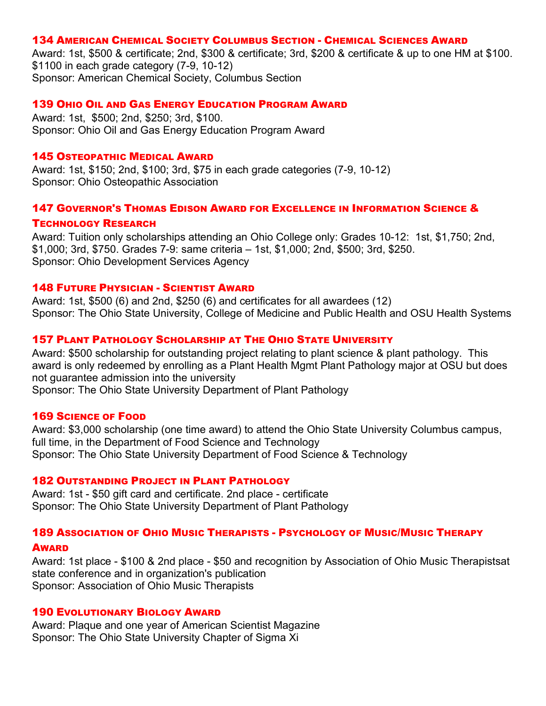## 134 AMERICAN CHEMICAL SOCIETY COLUMBUS SECTION - CHEMICAL SCIENCES AWARD

Award: 1st, \$500 & certificate; 2nd, \$300 & certificate; 3rd, \$200 & certificate & up to one HM at \$100. \$1100 in each grade category (7-9, 10-12) Sponsor: American Chemical Society, Columbus Section

## 139 OHIO OIL AND GAS ENERGY EDUCATION PROGRAM AWARD

Award: 1st, \$500; 2nd, \$250; 3rd, \$100. Sponsor: Ohio Oil and Gas Energy Education Program Award

## 145 OSTEOPATHIC MEDICAL AWARD

Award: 1st, \$150; 2nd, \$100; 3rd, \$75 in each grade categories (7-9, 10-12) Sponsor: Ohio Osteopathic Association

## 147 GOVERNOR'S THOMAS EDISON AWARD FOR EXCELLENCE IN INFORMATION SCIENCE &

#### TECHNOLOGY RESEARCH

Award: Tuition only scholarships attending an Ohio College only: Grades 10-12: 1st, \$1,750; 2nd, \$1,000; 3rd, \$750. Grades 7-9: same criteria – 1st, \$1,000; 2nd, \$500; 3rd, \$250. Sponsor: Ohio Development Services Agency

#### 148 FUTURE PHYSICIAN - SCIENTIST AWARD

Award: 1st, \$500 (6) and 2nd, \$250 (6) and certificates for all awardees (12) Sponsor: The Ohio State University, College of Medicine and Public Health and OSU Health Systems

# 157 PLANT PATHOLOGY SCHOLARSHIP AT THE OHIO STATE UNIVERSITY

Award: \$500 scholarship for outstanding project relating to plant science & plant pathology. This award is only redeemed by enrolling as a Plant Health Mgmt Plant Pathology major at OSU but does not guarantee admission into the university Sponsor: The Ohio State University Department of Plant Pathology

## 169 SCIENCE OF FOOD

Award: \$3,000 scholarship (one time award) to attend the Ohio State University Columbus campus, full time, in the Department of Food Science and Technology Sponsor: The Ohio State University Department of Food Science & Technology

## 182 OUTSTANDING PROJECT IN PLANT PATHOLOGY

Award: 1st - \$50 gift card and certificate. 2nd place - certificate Sponsor: The Ohio State University Department of Plant Pathology

## 189 ASSOCIATION OF OHIO MUSIC THERAPISTS - PSYCHOLOGY OF MUSIC/MUSIC THERAPY

#### AWARD

Award: 1st place - \$100 & 2nd place - \$50 and recognition by Association of Ohio Music Therapistsat state conference and in organization's publication Sponsor: Association of Ohio Music Therapists

#### 190 EVOLUTIONARY BIOLOGY AWARD

Award: Plaque and one year of American Scientist Magazine Sponsor: The Ohio State University Chapter of Sigma Xi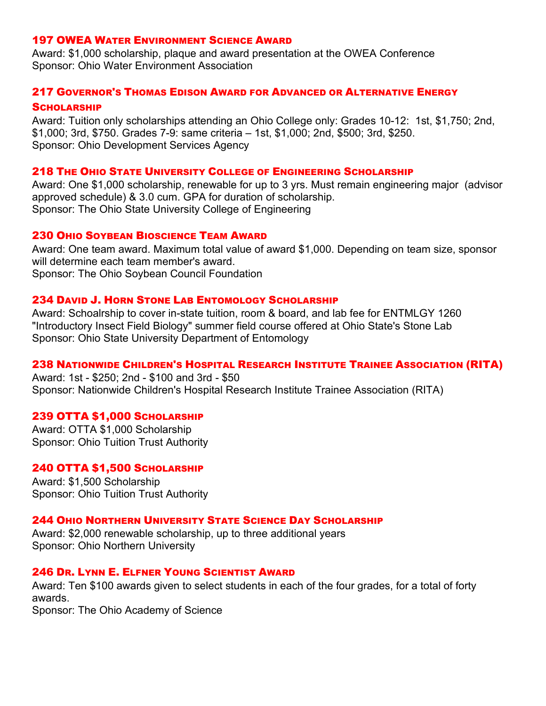# 197 OWEA WATER ENVIRONMENT SCIENCE AWARD

Award: \$1,000 scholarship, plaque and award presentation at the OWEA Conference Sponsor: Ohio Water Environment Association

## 217 GOVERNOR'S THOMAS EDISON AWARD FOR ADVANCED OR ALTERNATIVE ENERGY

#### **SCHOLARSHIP**

Award: Tuition only scholarships attending an Ohio College only: Grades 10-12: 1st, \$1,750; 2nd, \$1,000; 3rd, \$750. Grades 7-9: same criteria – 1st, \$1,000; 2nd, \$500; 3rd, \$250. Sponsor: Ohio Development Services Agency

## 218 THE OHIO STATE UNIVERSITY COLLEGE OF ENGINEERING SCHOLARSHIP

Award: One \$1,000 scholarship, renewable for up to 3 yrs. Must remain engineering major (advisor approved schedule) & 3.0 cum. GPA for duration of scholarship. Sponsor: The Ohio State University College of Engineering

# 230 OHIO SOYBEAN BIOSCIENCE TEAM AWARD

Award: One team award. Maximum total value of award \$1,000. Depending on team size, sponsor will determine each team member's award. Sponsor: The Ohio Soybean Council Foundation

## 234 DAVID J. HORN STONE LAB ENTOMOLOGY SCHOLARSHIP

Award: Schoalrship to cover in-state tuition, room & board, and lab fee for ENTMLGY 1260 "Introductory Insect Field Biology" summer field course offered at Ohio State's Stone Lab Sponsor: Ohio State University Department of Entomology

## 238 NATIONWIDE CHILDREN'S HOSPITAL RESEARCH INSTITUTE TRAINEE ASSOCIATION (RITA)

Award: 1st - \$250; 2nd - \$100 and 3rd - \$50 Sponsor: Nationwide Children's Hospital Research Institute Trainee Association (RITA)

## 239 OTTA \$1,000 SCHOLARSHIP

Award: OTTA \$1,000 Scholarship Sponsor: Ohio Tuition Trust Authority

## 240 OTTA \$1,500 SCHOLARSHIP

Award: \$1,500 Scholarship Sponsor: Ohio Tuition Trust Authority

#### 244 OHIO NORTHERN UNIVERSITY STATE SCIENCE DAY SCHOLARSHIP

Award: \$2,000 renewable scholarship, up to three additional years Sponsor: Ohio Northern University

#### 246 DR. LYNN E. ELFNER YOUNG SCIENTIST AWARD

Award: Ten \$100 awards given to select students in each of the four grades, for a total of forty awards.

Sponsor: The Ohio Academy of Science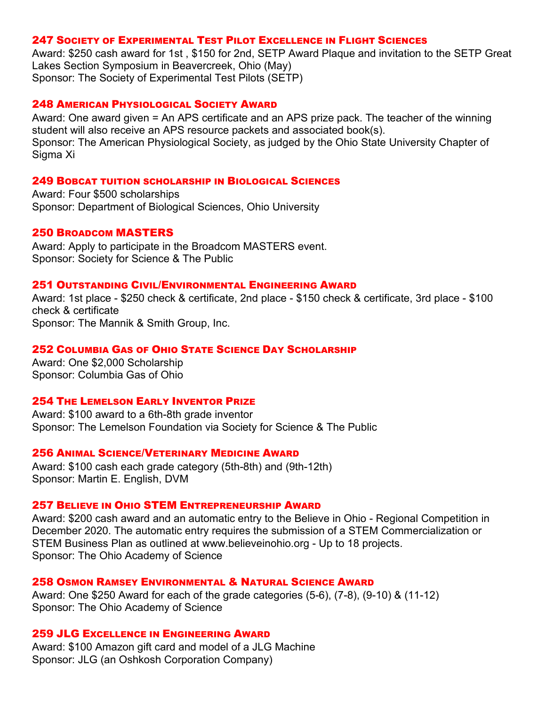# 247 SOCIETY OF EXPERIMENTAL TEST PILOT EXCELLENCE IN FLIGHT SCIENCES

Award: \$250 cash award for 1st , \$150 for 2nd, SETP Award Plaque and invitation to the SETP Great Lakes Section Symposium in Beavercreek, Ohio (May) Sponsor: The Society of Experimental Test Pilots (SETP)

## 248 AMERICAN PHYSIOLOGICAL SOCIETY AWARD

Award: One award given = An APS certificate and an APS prize pack. The teacher of the winning student will also receive an APS resource packets and associated book(s). Sponsor: The American Physiological Society, as judged by the Ohio State University Chapter of Sigma Xi

#### 249 BOBCAT TUITION SCHOLARSHIP IN BIOLOGICAL SCIENCES

Award: Four \$500 scholarships Sponsor: Department of Biological Sciences, Ohio University

## 250 BROADCOM MASTERS

Award: Apply to participate in the Broadcom MASTERS event. Sponsor: Society for Science & The Public

## 251 OUTSTANDING CIVIL/ENVIRONMENTAL ENGINEERING AWARD

Award: 1st place - \$250 check & certificate, 2nd place - \$150 check & certificate, 3rd place - \$100 check & certificate Sponsor: The Mannik & Smith Group, Inc.

## 252 COLUMBIA GAS OF OHIO STATE SCIENCE DAY SCHOLARSHIP

Award: One \$2,000 Scholarship Sponsor: Columbia Gas of Ohio

## 254 THE LEMELSON EARLY INVENTOR PRIZE

Award: \$100 award to a 6th-8th grade inventor Sponsor: The Lemelson Foundation via Society for Science & The Public

#### 256 ANIMAL SCIENCE/VETERINARY MEDICINE AWARD

Award: \$100 cash each grade category (5th-8th) and (9th-12th) Sponsor: Martin E. English, DVM

## 257 BELIEVE IN OHIO STEM ENTREPRENEURSHIP AWARD

Award: \$200 cash award and an automatic entry to the Believe in Ohio - Regional Competition in December 2020. The automatic entry requires the submission of a STEM Commercialization or STEM Business Plan as outlined at www.believeinohio.org - Up to 18 projects. Sponsor: The Ohio Academy of Science

## 258 OSMON RAMSEY ENVIRONMENTAL & NATURAL SCIENCE AWARD

Award: One \$250 Award for each of the grade categories (5-6), (7-8), (9-10) & (11-12) Sponsor: The Ohio Academy of Science

# 259 JLG EXCELLENCE IN ENGINEERING AWARD

Award: \$100 Amazon gift card and model of a JLG Machine Sponsor: JLG (an Oshkosh Corporation Company)